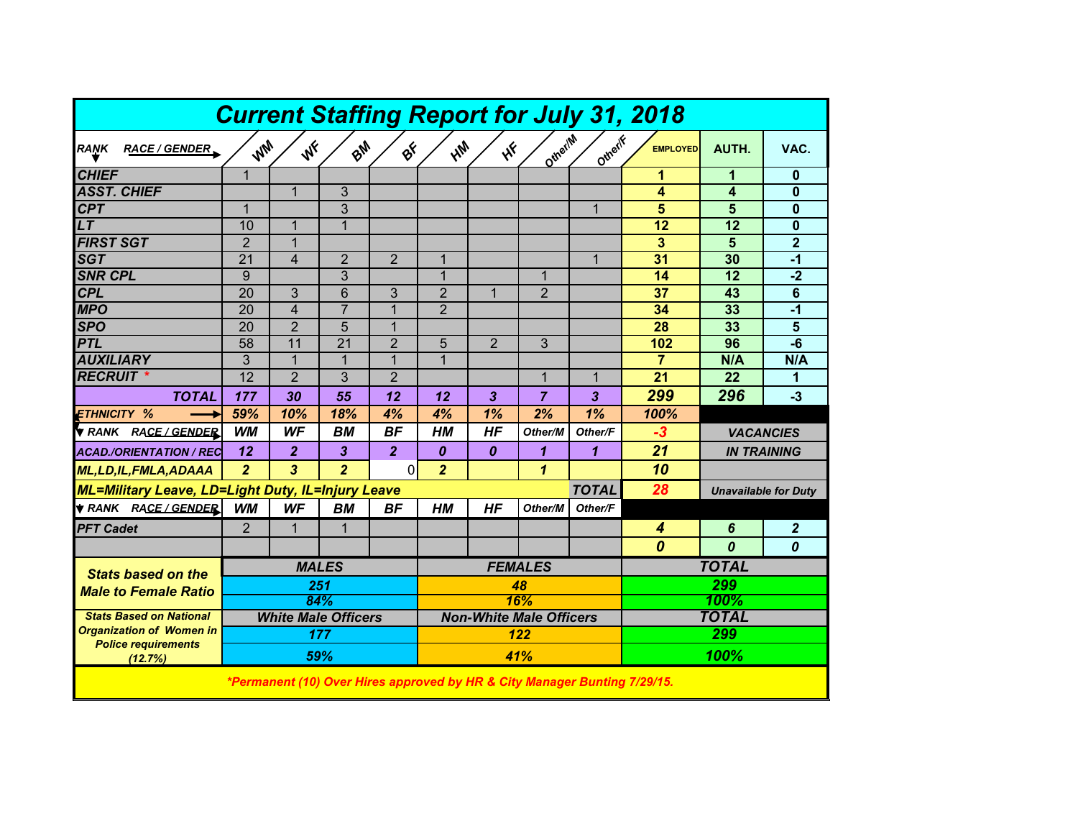| <b>Current Staffing Report for July 31, 2018</b>                          |                            |                |                |                |                  |                                |                |              |                  |                             |                  |  |
|---------------------------------------------------------------------------|----------------------------|----------------|----------------|----------------|------------------|--------------------------------|----------------|--------------|------------------|-----------------------------|------------------|--|
| RAŅK<br><b>RACE / GENDER</b>                                              | WW                         | WF             | BM             | ØÝ             | <b>MA</b>        | $\frac{1}{2}$                  | Otherin        | Otherif      | <b>EMPLOYED</b>  | AUTH.                       | VAC.             |  |
| <b>CHIEF</b>                                                              | $\overline{1}$             |                |                |                |                  |                                |                |              | 1                | 1                           | $\bf{0}$         |  |
| <b>ASST. CHIEF</b>                                                        |                            | $\mathbf{1}$   | $\overline{3}$ |                |                  |                                |                |              | 4                | 4                           | $\mathbf{0}$     |  |
| CPT                                                                       | $\mathbf 1$                |                | $\overline{3}$ |                |                  |                                |                | 1            | 5                | 5                           | $\bf{0}$         |  |
| LT                                                                        | 10                         | 1              | 1              |                |                  |                                |                |              | 12               | 12                          | $\bf{0}$         |  |
| <b>FIRST SGT</b>                                                          | $\overline{2}$             | $\mathbf{1}$   |                |                |                  |                                |                |              | $\overline{3}$   | $\overline{5}$              | $\overline{2}$   |  |
| <b>SGT</b>                                                                | 21                         | $\overline{4}$ | 2              | $\overline{2}$ | $\mathbf 1$      |                                |                | $\mathbf 1$  | $\overline{31}$  | 30                          | $-1$             |  |
| <b>SNR CPL</b>                                                            | 9                          |                | 3              |                | 1                |                                | 1              |              | 14               | 12                          | $-2$             |  |
| <b>CPL</b>                                                                | 20                         | 3              | 6              | 3              | $\overline{2}$   | 1                              | $\overline{2}$ |              | 37               | 43                          | 6                |  |
| <b>MPO</b>                                                                | 20                         | $\overline{4}$ | $\overline{7}$ | $\overline{1}$ | $\overline{2}$   |                                |                |              | 34               | 33                          | $-1$             |  |
| <b>SPO</b>                                                                | 20                         | $\overline{2}$ | 5              | $\overline{1}$ |                  |                                |                |              | 28               | 33                          | 5                |  |
| <b>PTL</b>                                                                | 58                         | 11             | 21             | $\overline{2}$ | 5                | $\overline{2}$                 | 3              |              | 102              | 96                          | $-6$             |  |
| <b>AUXILIARY</b>                                                          | $\overline{3}$             | $\overline{1}$ | $\mathbf{1}$   | $\overline{1}$ | $\overline{1}$   |                                |                |              | $\overline{7}$   | N/A                         | N/A              |  |
| <b>RECRUIT *</b>                                                          | 12                         | $\overline{2}$ | $\mathbf{3}$   | $\overline{2}$ |                  |                                | $\mathbf{1}$   | $\mathbf{1}$ | 21               | 22                          | 1                |  |
| <b>TOTAL</b>                                                              | 177                        | 30             | 55             | 12             | 12               | 3                              | $\overline{7}$ | 3            | 299              | 296                         | $-3$             |  |
| <b>ETHNICITY %</b>                                                        | 59%                        | 10%            | 18%            | 4%             | 4%               | 1%                             | 2%             | 1%           | 100%             |                             |                  |  |
| RANK RACE/GENDER                                                          | <b>WM</b>                  | WF             | BМ             | <b>BF</b>      | <b>HM</b>        | <b>HF</b>                      | Other/M        | Other/F      | $-3$             | <b>VACANCIES</b>            |                  |  |
| <b>ACAD./ORIENTATION / REC</b>                                            | 12                         | $\overline{2}$ | 3              | $\overline{2}$ | $\boldsymbol{0}$ | 0                              | 1              | 1            | 21               | <b>IN TRAINING</b>          |                  |  |
| <b>ML, LD, IL, FMLA, ADAAA</b>                                            | $\overline{2}$             | 3              | $\overline{2}$ | $\mathbf{0}$   | $\overline{2}$   |                                | 1              |              | 10               |                             |                  |  |
| <b>ML=Military Leave, LD=Light Duty, IL=Injury Leave</b>                  |                            |                |                |                |                  | <b>TOTAL</b>                   |                |              | 28               | <b>Unavailable for Duty</b> |                  |  |
| <b>TRANK RACE/GENDER</b>                                                  | <b>WM</b>                  | <b>WF</b>      | BM             | BF             | HМ               | <b>HF</b>                      | Other/M        | Other/F      |                  |                             |                  |  |
| <b>PFT Cadet</b>                                                          | 2                          | 1              | $\mathbf 1$    |                |                  |                                |                |              | 4                | 6                           | $\mathbf{2}$     |  |
|                                                                           |                            |                |                |                |                  |                                |                |              | $\boldsymbol{0}$ | $\boldsymbol{0}$            | $\boldsymbol{0}$ |  |
| <b>Stats based on the</b>                                                 | <b>MALES</b>               |                |                |                | <b>FEMALES</b>   |                                |                |              | <b>TOTAL</b>     |                             |                  |  |
| <b>Male to Female Ratio</b>                                               | 251                        |                |                |                | 48               |                                |                |              | 299              |                             |                  |  |
|                                                                           | 84%                        |                |                |                | 16%              |                                |                |              | 100%             |                             |                  |  |
| <b>Stats Based on National</b>                                            | <b>White Male Officers</b> |                |                |                |                  | <b>Non-White Male Officers</b> |                |              |                  | <b>TOTAL</b>                |                  |  |
| <b>Organization of Women in</b>                                           | 177                        |                |                |                | 122              |                                |                |              | 299              |                             |                  |  |
| <b>Police requirements</b><br>(12.7%)                                     | 59%                        |                |                |                | 41%              |                                |                |              | 100%             |                             |                  |  |
| *Permanent (10) Over Hires approved by HR & City Manager Bunting 7/29/15. |                            |                |                |                |                  |                                |                |              |                  |                             |                  |  |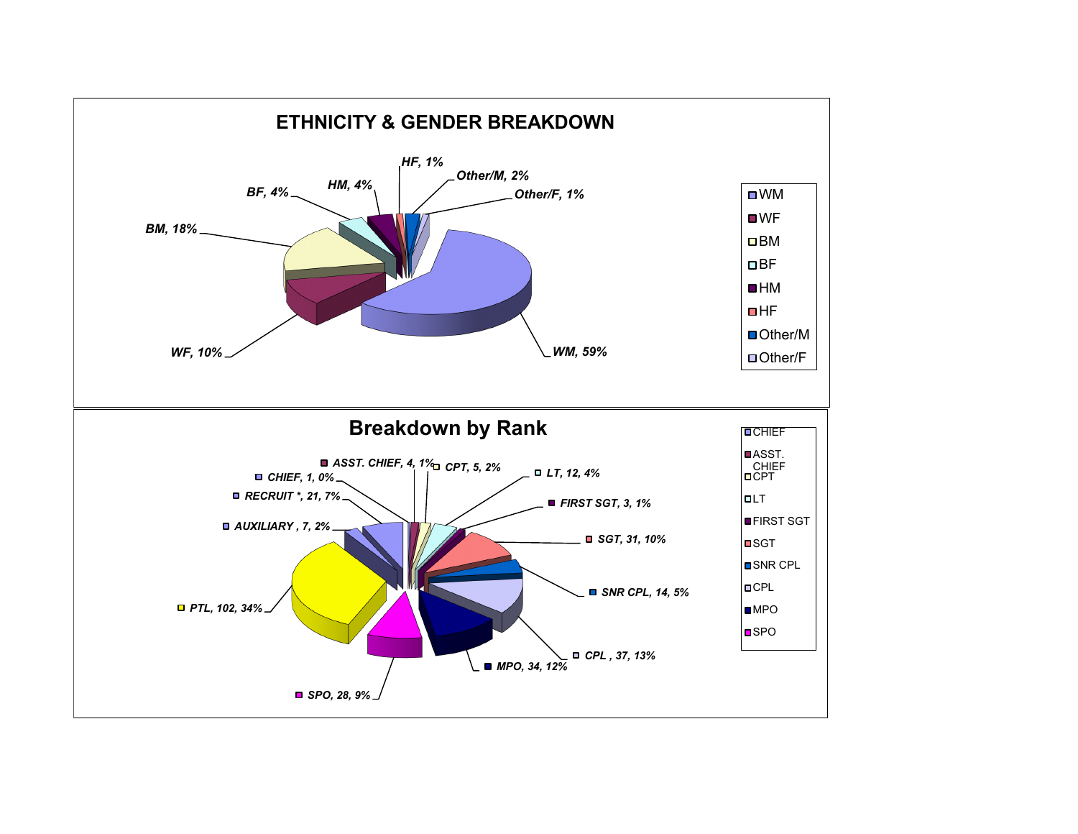